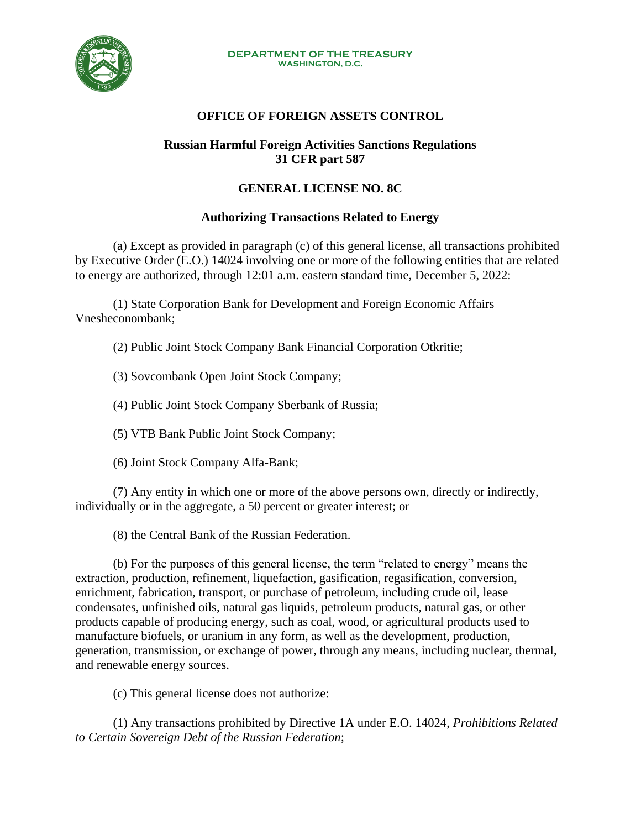

#### **DEPARTMENT OF THE TREASURY WASHINGTON, D.C.**

# **OFFICE OF FOREIGN ASSETS CONTROL**

### **Russian Harmful Foreign Activities Sanctions Regulations 31 CFR part 587**

## **GENERAL LICENSE NO. 8C**

## **Authorizing Transactions Related to Energy**

(a) Except as provided in paragraph (c) of this general license, all transactions prohibited by Executive Order (E.O.) 14024 involving one or more of the following entities that are related to energy are authorized, through 12:01 a.m. eastern standard time, December 5, 2022:

(1) State Corporation Bank for Development and Foreign Economic Affairs Vnesheconombank;

(2) Public Joint Stock Company Bank Financial Corporation Otkritie;

- (3) Sovcombank Open Joint Stock Company;
- (4) Public Joint Stock Company Sberbank of Russia;
- (5) VTB Bank Public Joint Stock Company;
- (6) Joint Stock Company Alfa-Bank;

(7) Any entity in which one or more of the above persons own, directly or indirectly, individually or in the aggregate, a 50 percent or greater interest; or

(8) the Central Bank of the Russian Federation.

(b) For the purposes of this general license, the term "related to energy" means the extraction, production, refinement, liquefaction, gasification, regasification, conversion, enrichment, fabrication, transport, or purchase of petroleum, including crude oil, lease condensates, unfinished oils, natural gas liquids, petroleum products, natural gas, or other products capable of producing energy, such as coal, wood, or agricultural products used to manufacture biofuels, or uranium in any form, as well as the development, production, generation, transmission, or exchange of power, through any means, including nuclear, thermal, and renewable energy sources.

(c) This general license does not authorize:

(1) Any transactions prohibited by Directive 1A under E.O. 14024, *Prohibitions Related to Certain Sovereign Debt of the Russian Federation*;